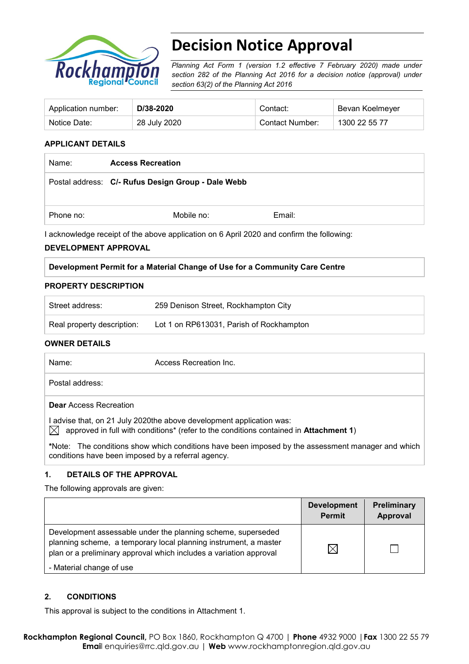

# **Decision Notice Approval**

*Planning Act Form 1 (version 1.2 effective 7 February 2020) made under section 282 of the Planning Act 2016 for a decision notice (approval) under section 63(2) of the Planning Act 2016*

| Application number: | D/38-2020    | Contact:        | Bevan Koelmeyer |
|---------------------|--------------|-----------------|-----------------|
| Notice Date:        | 28 July 2020 | Contact Number: | 1300 22 55 77   |

## **APPLICANT DETAILS**

| Name:     | <b>Access Recreation</b>                           |        |  |  |
|-----------|----------------------------------------------------|--------|--|--|
|           | Postal address: C/- Rufus Design Group - Dale Webb |        |  |  |
| Phone no: | Mobile no:                                         | Email: |  |  |

I acknowledge receipt of the above application on 6 April 2020 and confirm the following:

#### **DEVELOPMENT APPROVAL**

#### **Development Permit for a Material Change of Use for a Community Care Centre**

#### **PROPERTY DESCRIPTION**

| Street address:            | 259 Denison Street, Rockhampton City     |
|----------------------------|------------------------------------------|
| Real property description: | Lot 1 on RP613031, Parish of Rockhampton |

#### **OWNER DETAILS**

| Name:                         | Access Recreation Inc.                                                                                                                                                                      |
|-------------------------------|---------------------------------------------------------------------------------------------------------------------------------------------------------------------------------------------|
| Postal address:               |                                                                                                                                                                                             |
| <b>Dear</b> Access Recreation |                                                                                                                                                                                             |
|                               | I advise that, on 21 July 2020the above development application was:<br>$\bowtie$ approved in full with conditions <sup>*</sup> (refer to the conditions contained in <b>Attachment 1</b> ) |
|                               | *Note: The conditions show which conditions have been imposed by the assessment manager and which<br>conditions have been imposed by a referral agency.                                     |

#### **1. DETAILS OF THE APPROVAL**

The following approvals are given:

|                                                                                                                                                                                                        | <b>Development</b><br><b>Permit</b> | Preliminary<br>Approval |
|--------------------------------------------------------------------------------------------------------------------------------------------------------------------------------------------------------|-------------------------------------|-------------------------|
| Development assessable under the planning scheme, superseded<br>planning scheme, a temporary local planning instrument, a master<br>plan or a preliminary approval which includes a variation approval |                                     |                         |
| - Material change of use                                                                                                                                                                               |                                     |                         |

#### **2. CONDITIONS**

This approval is subject to the conditions in Attachment 1.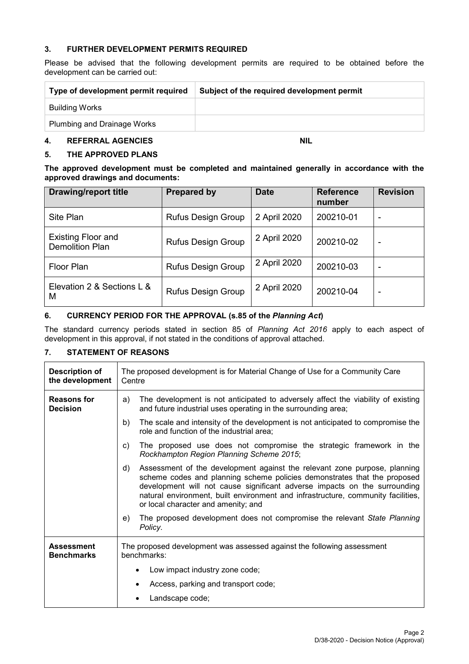### **3. FURTHER DEVELOPMENT PERMITS REQUIRED**

Please be advised that the following development permits are required to be obtained before the development can be carried out:

| Type of development permit required | Subject of the required development permit |
|-------------------------------------|--------------------------------------------|
| Building Works                      |                                            |
| <b>Plumbing and Drainage Works</b>  |                                            |

### **4. REFERRAL AGENCIES NIL**

## **5. THE APPROVED PLANS**

**The approved development must be completed and maintained generally in accordance with the approved drawings and documents:**

| <b>Drawing/report title</b>                         | <b>Prepared by</b>        | <b>Date</b>  | <b>Reference</b><br>number | <b>Revision</b> |
|-----------------------------------------------------|---------------------------|--------------|----------------------------|-----------------|
| Site Plan                                           | <b>Rufus Design Group</b> | 2 April 2020 | 200210-01                  | ۰               |
| <b>Existing Floor and</b><br><b>Demolition Plan</b> | <b>Rufus Design Group</b> | 2 April 2020 | 200210-02                  | -               |
| Floor Plan                                          | <b>Rufus Design Group</b> | 2 April 2020 | 200210-03                  | ۰               |
| Elevation 2 & Sections L &<br>М                     | <b>Rufus Design Group</b> | 2 April 2020 | 200210-04                  | ۰               |

# **6. CURRENCY PERIOD FOR THE APPROVAL (s.85 of the** *Planning Act***)**

The standard currency periods stated in section 85 of *Planning Act 2016* apply to each aspect of development in this approval, if not stated in the conditions of approval attached.

# **7. STATEMENT OF REASONS**

| <b>Description of</b><br>the development | The proposed development is for Material Change of Use for a Community Care<br>Centre                                                                                                                                                                                                                                                                               |  |  |
|------------------------------------------|---------------------------------------------------------------------------------------------------------------------------------------------------------------------------------------------------------------------------------------------------------------------------------------------------------------------------------------------------------------------|--|--|
| <b>Reasons for</b><br><b>Decision</b>    | The development is not anticipated to adversely affect the viability of existing<br>a)<br>and future industrial uses operating in the surrounding area;                                                                                                                                                                                                             |  |  |
|                                          | The scale and intensity of the development is not anticipated to compromise the<br>b)<br>role and function of the industrial area;                                                                                                                                                                                                                                  |  |  |
|                                          | The proposed use does not compromise the strategic framework in the<br>c)<br>Rockhampton Region Planning Scheme 2015;                                                                                                                                                                                                                                               |  |  |
|                                          | Assessment of the development against the relevant zone purpose, planning<br>d)<br>scheme codes and planning scheme policies demonstrates that the proposed<br>development will not cause significant adverse impacts on the surrounding<br>natural environment, built environment and infrastructure, community facilities,<br>or local character and amenity; and |  |  |
|                                          | The proposed development does not compromise the relevant State Planning<br>e)<br>Policy.                                                                                                                                                                                                                                                                           |  |  |
| <b>Assessment</b><br><b>Benchmarks</b>   | The proposed development was assessed against the following assessment<br>benchmarks:                                                                                                                                                                                                                                                                               |  |  |
|                                          | Low impact industry zone code;                                                                                                                                                                                                                                                                                                                                      |  |  |
|                                          | Access, parking and transport code;                                                                                                                                                                                                                                                                                                                                 |  |  |
|                                          | Landscape code;                                                                                                                                                                                                                                                                                                                                                     |  |  |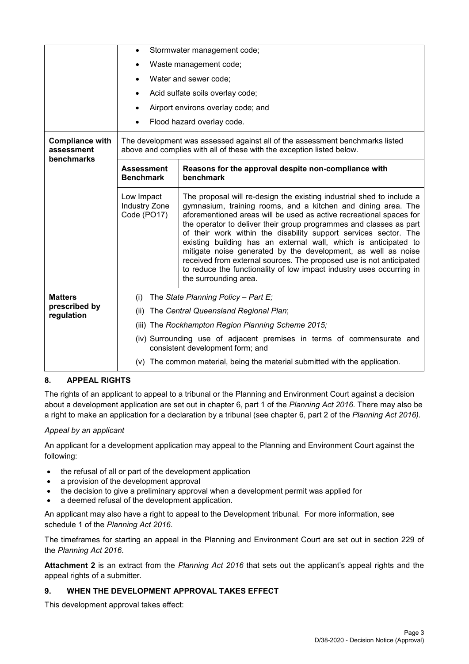|                                                    | Stormwater management code;<br>$\bullet$                                                                                                              |                                                                                                                                                                                                                                                                                                                                                                                                                                                                                                                                                                                                                                                                     |  |  |
|----------------------------------------------------|-------------------------------------------------------------------------------------------------------------------------------------------------------|---------------------------------------------------------------------------------------------------------------------------------------------------------------------------------------------------------------------------------------------------------------------------------------------------------------------------------------------------------------------------------------------------------------------------------------------------------------------------------------------------------------------------------------------------------------------------------------------------------------------------------------------------------------------|--|--|
|                                                    | Waste management code;                                                                                                                                |                                                                                                                                                                                                                                                                                                                                                                                                                                                                                                                                                                                                                                                                     |  |  |
|                                                    | Water and sewer code;                                                                                                                                 |                                                                                                                                                                                                                                                                                                                                                                                                                                                                                                                                                                                                                                                                     |  |  |
|                                                    |                                                                                                                                                       |                                                                                                                                                                                                                                                                                                                                                                                                                                                                                                                                                                                                                                                                     |  |  |
|                                                    |                                                                                                                                                       | Acid sulfate soils overlay code;                                                                                                                                                                                                                                                                                                                                                                                                                                                                                                                                                                                                                                    |  |  |
|                                                    |                                                                                                                                                       | Airport environs overlay code; and                                                                                                                                                                                                                                                                                                                                                                                                                                                                                                                                                                                                                                  |  |  |
|                                                    |                                                                                                                                                       | Flood hazard overlay code.                                                                                                                                                                                                                                                                                                                                                                                                                                                                                                                                                                                                                                          |  |  |
| <b>Compliance with</b><br>assessment<br>benchmarks | The development was assessed against all of the assessment benchmarks listed<br>above and complies with all of these with the exception listed below. |                                                                                                                                                                                                                                                                                                                                                                                                                                                                                                                                                                                                                                                                     |  |  |
|                                                    | <b>Assessment</b><br><b>Benchmark</b>                                                                                                                 | Reasons for the approval despite non-compliance with<br>benchmark                                                                                                                                                                                                                                                                                                                                                                                                                                                                                                                                                                                                   |  |  |
|                                                    | Low Impact<br><b>Industry Zone</b><br>Code (PO17)                                                                                                     | The proposal will re-design the existing industrial shed to include a<br>gymnasium, training rooms, and a kitchen and dining area. The<br>aforementioned areas will be used as active recreational spaces for<br>the operator to deliver their group programmes and classes as part<br>of their work within the disability support services sector. The<br>existing building has an external wall, which is anticipated to<br>mitigate noise generated by the development, as well as noise<br>received from external sources. The proposed use is not anticipated<br>to reduce the functionality of low impact industry uses occurring in<br>the surrounding area. |  |  |
| <b>Matters</b><br>prescribed by<br>regulation      | The State Planning Policy - Part E;<br>(i)<br>The Central Queensland Regional Plan;<br>(ii)<br>(iii) The Rockhampton Region Planning Scheme 2015;     |                                                                                                                                                                                                                                                                                                                                                                                                                                                                                                                                                                                                                                                                     |  |  |
|                                                    | (iv) Surrounding use of adjacent premises in terms of commensurate and<br>consistent development form; and                                            |                                                                                                                                                                                                                                                                                                                                                                                                                                                                                                                                                                                                                                                                     |  |  |
|                                                    | (v) The common material, being the material submitted with the application.                                                                           |                                                                                                                                                                                                                                                                                                                                                                                                                                                                                                                                                                                                                                                                     |  |  |

#### **8. APPEAL RIGHTS**

The rights of an applicant to appeal to a tribunal or the Planning and Environment Court against a decision about a development application are set out in chapter 6, part 1 of the *Planning Act 2016*. There may also be a right to make an application for a declaration by a tribunal (see chapter 6, part 2 of the *Planning Act 2016).*

#### *Appeal by an applicant*

An applicant for a development application may appeal to the Planning and Environment Court against the following:

- the refusal of all or part of the development application
- a provision of the development approval
- the decision to give a preliminary approval when a development permit was applied for
- a deemed refusal of the development application.

An applicant may also have a right to appeal to the Development tribunal. For more information, see schedule 1 of the *Planning Act 2016*.

The timeframes for starting an appeal in the Planning and Environment Court are set out in section 229 of the *Planning Act 2016*.

**Attachment 2** is an extract from the *Planning Act 2016* that sets out the applicant's appeal rights and the appeal rights of a submitter.

## **9. WHEN THE DEVELOPMENT APPROVAL TAKES EFFECT**

This development approval takes effect: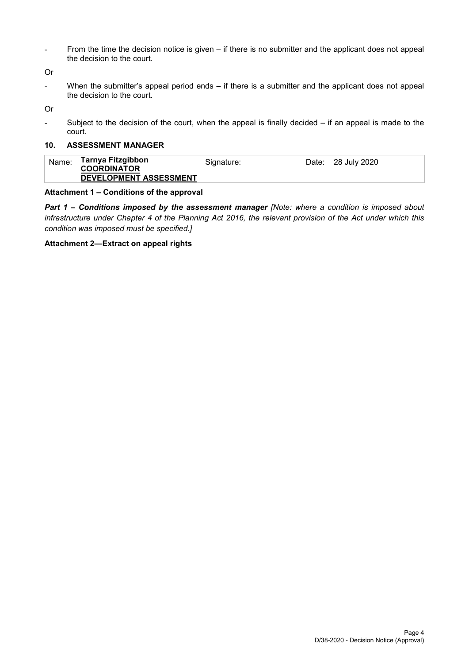- From the time the decision notice is given – if there is no submitter and the applicant does not appeal the decision to the court.

Or

When the submitter's appeal period ends – if there is a submitter and the applicant does not appeal the decision to the court.

Or

- Subject to the decision of the court, when the appeal is finally decided – if an appeal is made to the court.

# **10. ASSESSMENT MANAGER**

| Name: | Tarnya Fitzgibbon<br><b>COORDINATOR</b> | Signature: | Date: 28 July 2020 |
|-------|-----------------------------------------|------------|--------------------|
|       | DEVELOPMENT ASSESSMENT                  |            |                    |

#### **Attachment 1 – Conditions of the approval**

*Part 1* **–** *Conditions imposed by the assessment manager [Note: where a condition is imposed about infrastructure under Chapter 4 of the Planning Act 2016, the relevant provision of the Act under which this condition was imposed must be specified.]*

#### **Attachment 2—Extract on appeal rights**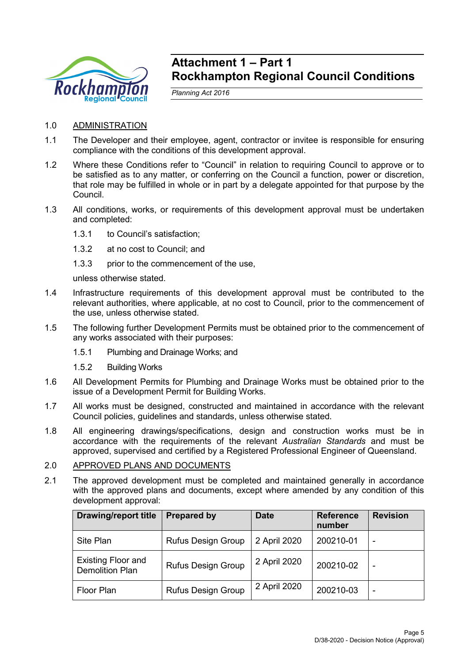

# **Attachment 1 – Part 1 Rockhampton Regional Council Conditions**

*Planning Act 2016*

- 1.0 ADMINISTRATION
- 1.1 The Developer and their employee, agent, contractor or invitee is responsible for ensuring compliance with the conditions of this development approval.
- 1.2 Where these Conditions refer to "Council" in relation to requiring Council to approve or to be satisfied as to any matter, or conferring on the Council a function, power or discretion, that role may be fulfilled in whole or in part by a delegate appointed for that purpose by the Council.
- 1.3 All conditions, works, or requirements of this development approval must be undertaken and completed:
	- 1.3.1 to Council's satisfaction;
	- 1.3.2 at no cost to Council; and
	- 1.3.3 prior to the commencement of the use,

unless otherwise stated.

- 1.4 Infrastructure requirements of this development approval must be contributed to the relevant authorities, where applicable, at no cost to Council, prior to the commencement of the use, unless otherwise stated.
- 1.5 The following further Development Permits must be obtained prior to the commencement of any works associated with their purposes:
	- 1.5.1 Plumbing and Drainage Works; and
	- 1.5.2 Building Works
- 1.6 All Development Permits for Plumbing and Drainage Works must be obtained prior to the issue of a Development Permit for Building Works.
- 1.7 All works must be designed, constructed and maintained in accordance with the relevant Council policies, guidelines and standards, unless otherwise stated.
- 1.8 All engineering drawings/specifications, design and construction works must be in accordance with the requirements of the relevant *Australian Standards* and must be approved, supervised and certified by a Registered Professional Engineer of Queensland.

# 2.0 APPROVED PLANS AND DOCUMENTS

2.1 The approved development must be completed and maintained generally in accordance with the approved plans and documents, except where amended by any condition of this development approval:

| <b>Drawing/report title</b>                         | <b>Prepared by</b>        | <b>Date</b>  | <b>Reference</b><br>number | <b>Revision</b> |
|-----------------------------------------------------|---------------------------|--------------|----------------------------|-----------------|
| Site Plan                                           | <b>Rufus Design Group</b> | 2 April 2020 | 200210-01                  | ۰               |
| <b>Existing Floor and</b><br><b>Demolition Plan</b> | <b>Rufus Design Group</b> | 2 April 2020 | 200210-02                  | ۰               |
| Floor Plan                                          | Rufus Design Group        | 2 April 2020 | 200210-03                  | ۰               |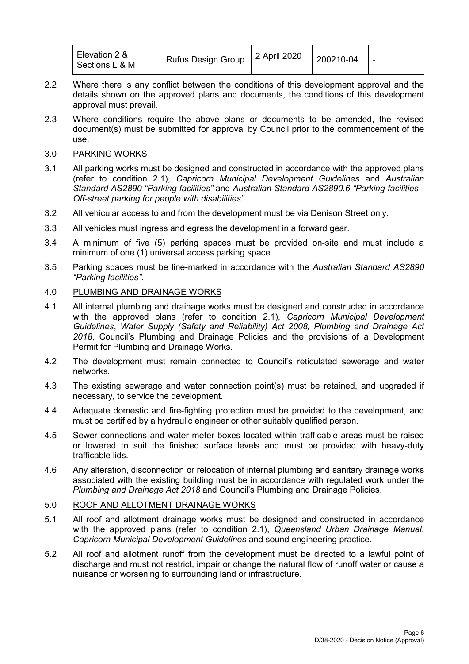| Elevation 2 &<br><b>Rufus Design Group</b><br>Sections L & M | 2 April 2020 | 200210-04 | $\overline{\phantom{0}}$ |
|--------------------------------------------------------------|--------------|-----------|--------------------------|
|--------------------------------------------------------------|--------------|-----------|--------------------------|

- 2.2 Where there is any conflict between the conditions of this development approval and the details shown on the approved plans and documents, the conditions of this development approval must prevail.
- 2.3 Where conditions require the above plans or documents to be amended, the revised document(s) must be submitted for approval by Council prior to the commencement of the use.
- 3.0 PARKING WORKS
- 3.1 All parking works must be designed and constructed in accordance with the approved plans (refer to condition 2.1), *Capricorn Municipal Development Guidelines* and *Australian Standard AS2890 "Parking facilities"* and *Australian Standard AS2890.6 "Parking facilities - Off-street parking for people with disabilities".*
- 3.2 All vehicular access to and from the development must be via Denison Street only.
- 3.3 All vehicles must ingress and egress the development in a forward gear.
- 3.4 A minimum of five (5) parking spaces must be provided on-site and must include a minimum of one (1) universal access parking space.
- 3.5 Parking spaces must be line-marked in accordance with the *Australian Standard AS2890 "Parking facilities"*.

## 4.0 PLUMBING AND DRAINAGE WORKS

- 4.1 All internal plumbing and drainage works must be designed and constructed in accordance with the approved plans (refer to condition 2.1), *Capricorn Municipal Development Guidelines*, *Water Supply (Safety and Reliability) Act 2008, Plumbing and Drainage Act 2018*, Council's Plumbing and Drainage Policies and the provisions of a Development Permit for Plumbing and Drainage Works.
- 4.2 The development must remain connected to Council's reticulated sewerage and water networks.
- 4.3 The existing sewerage and water connection point(s) must be retained, and upgraded if necessary, to service the development.
- 4.4 Adequate domestic and fire-fighting protection must be provided to the development, and must be certified by a hydraulic engineer or other suitably qualified person.
- 4.5 Sewer connections and water meter boxes located within trafficable areas must be raised or lowered to suit the finished surface levels and must be provided with heavy-duty trafficable lids.
- 4.6 Any alteration, disconnection or relocation of internal plumbing and sanitary drainage works associated with the existing building must be in accordance with regulated work under the *Plumbing and Drainage Act 2018* and Council's Plumbing and Drainage Policies.

#### 5.0 ROOF AND ALLOTMENT DRAINAGE WORKS

- 5.1 All roof and allotment drainage works must be designed and constructed in accordance with the approved plans (refer to condition 2.1), *Queensland Urban Drainage Manual*, *Capricorn Municipal Development Guidelines* and sound engineering practice.
- 5.2 All roof and allotment runoff from the development must be directed to a lawful point of discharge and must not restrict, impair or change the natural flow of runoff water or cause a nuisance or worsening to surrounding land or infrastructure.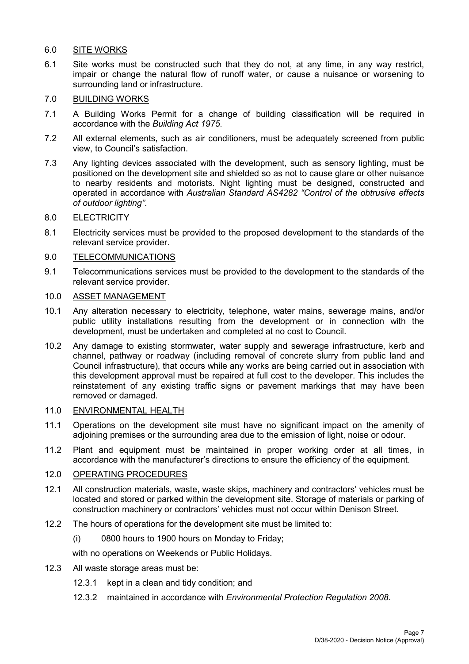# 6.0 SITE WORKS

6.1 Site works must be constructed such that they do not, at any time, in any way restrict, impair or change the natural flow of runoff water, or cause a nuisance or worsening to surrounding land or infrastructure.

# 7.0 BUILDING WORKS

- 7.1 A Building Works Permit for a change of building classification will be required in accordance with the *Building Act 1975*.
- 7.2 All external elements, such as air conditioners, must be adequately screened from public view, to Council's satisfaction.
- 7.3 Any lighting devices associated with the development, such as sensory lighting, must be positioned on the development site and shielded so as not to cause glare or other nuisance to nearby residents and motorists. Night lighting must be designed, constructed and operated in accordance with *Australian Standard AS4282 "Control of the obtrusive effects of outdoor lighting"*.

# 8.0 ELECTRICITY

8.1 Electricity services must be provided to the proposed development to the standards of the relevant service provider.

# 9.0 TELECOMMUNICATIONS

9.1 Telecommunications services must be provided to the development to the standards of the relevant service provider.

## 10.0 ASSET MANAGEMENT

- 10.1 Any alteration necessary to electricity, telephone, water mains, sewerage mains, and/or public utility installations resulting from the development or in connection with the development, must be undertaken and completed at no cost to Council.
- 10.2 Any damage to existing stormwater, water supply and sewerage infrastructure, kerb and channel, pathway or roadway (including removal of concrete slurry from public land and Council infrastructure), that occurs while any works are being carried out in association with this development approval must be repaired at full cost to the developer. This includes the reinstatement of any existing traffic signs or pavement markings that may have been removed or damaged.

# 11.0 ENVIRONMENTAL HEALTH

- 11.1 Operations on the development site must have no significant impact on the amenity of adjoining premises or the surrounding area due to the emission of light, noise or odour.
- 11.2 Plant and equipment must be maintained in proper working order at all times, in accordance with the manufacturer's directions to ensure the efficiency of the equipment.

# 12.0 OPERATING PROCEDURES

- 12.1 All construction materials, waste, waste skips, machinery and contractors' vehicles must be located and stored or parked within the development site. Storage of materials or parking of construction machinery or contractors' vehicles must not occur within Denison Street.
- 12.2 The hours of operations for the development site must be limited to:
	- (i) 0800 hours to 1900 hours on Monday to Friday;

with no operations on Weekends or Public Holidays.

- 12.3 All waste storage areas must be:
	- 12.3.1 kept in a clean and tidy condition; and
	- 12.3.2 maintained in accordance with *Environmental Protection Regulation 2008*.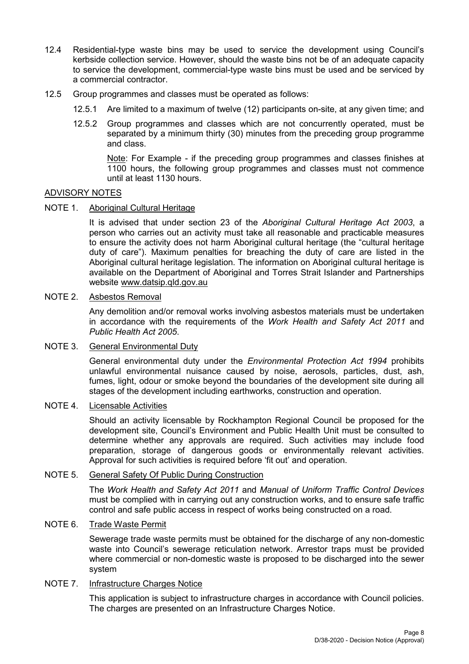- 12.4 Residential-type waste bins may be used to service the development using Council's kerbside collection service. However, should the waste bins not be of an adequate capacity to service the development, commercial-type waste bins must be used and be serviced by a commercial contractor.
- 12.5 Group programmes and classes must be operated as follows:
	- 12.5.1 Are limited to a maximum of twelve (12) participants on-site, at any given time; and
	- 12.5.2 Group programmes and classes which are not concurrently operated, must be separated by a minimum thirty (30) minutes from the preceding group programme and class.

Note: For Example - if the preceding group programmes and classes finishes at 1100 hours, the following group programmes and classes must not commence until at least 1130 hours.

## ADVISORY NOTES

NOTE 1. Aboriginal Cultural Heritage

It is advised that under section 23 of the *Aboriginal Cultural Heritage Act 2003*, a person who carries out an activity must take all reasonable and practicable measures to ensure the activity does not harm Aboriginal cultural heritage (the "cultural heritage duty of care"). Maximum penalties for breaching the duty of care are listed in the Aboriginal cultural heritage legislation. The information on Aboriginal cultural heritage is available on the Department of Aboriginal and Torres Strait Islander and Partnerships website [www.datsip.qld.gov.au](http://www.datsip.qld.gov.au/)

# NOTE 2. Asbestos Removal

Any demolition and/or removal works involving asbestos materials must be undertaken in accordance with the requirements of the *Work Health and Safety Act 2011* and *Public Health Act 2005*.

#### NOTE 3. General Environmental Duty

General environmental duty under the *Environmental Protection Act 1994* prohibits unlawful environmental nuisance caused by noise, aerosols, particles, dust, ash, fumes, light, odour or smoke beyond the boundaries of the development site during all stages of the development including earthworks, construction and operation.

#### NOTE 4. Licensable Activities

Should an activity licensable by Rockhampton Regional Council be proposed for the development site, Council's Environment and Public Health Unit must be consulted to determine whether any approvals are required. Such activities may include food preparation, storage of dangerous goods or environmentally relevant activities. Approval for such activities is required before 'fit out' and operation.

# NOTE 5. General Safety Of Public During Construction

The *Work Health and Safety Act 2011* and *Manual of Uniform Traffic Control Devices* must be complied with in carrying out any construction works, and to ensure safe traffic control and safe public access in respect of works being constructed on a road.

## NOTE 6. Trade Waste Permit

Sewerage trade waste permits must be obtained for the discharge of any non-domestic waste into Council's sewerage reticulation network. Arrestor traps must be provided where commercial or non-domestic waste is proposed to be discharged into the sewer system

# NOTE 7. Infrastructure Charges Notice

This application is subject to infrastructure charges in accordance with Council policies. The charges are presented on an Infrastructure Charges Notice.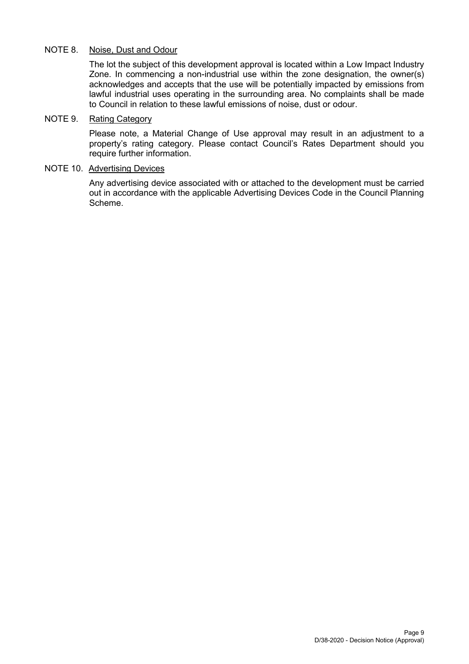# NOTE 8. Noise, Dust and Odour

The lot the subject of this development approval is located within a Low Impact Industry Zone. In commencing a non-industrial use within the zone designation, the owner(s) acknowledges and accepts that the use will be potentially impacted by emissions from lawful industrial uses operating in the surrounding area. No complaints shall be made to Council in relation to these lawful emissions of noise, dust or odour.

# NOTE 9. Rating Category

Please note, a Material Change of Use approval may result in an adjustment to a property's rating category. Please contact Council's Rates Department should you require further information.

# NOTE 10. Advertising Devices

Any advertising device associated with or attached to the development must be carried out in accordance with the applicable Advertising Devices Code in the Council Planning Scheme.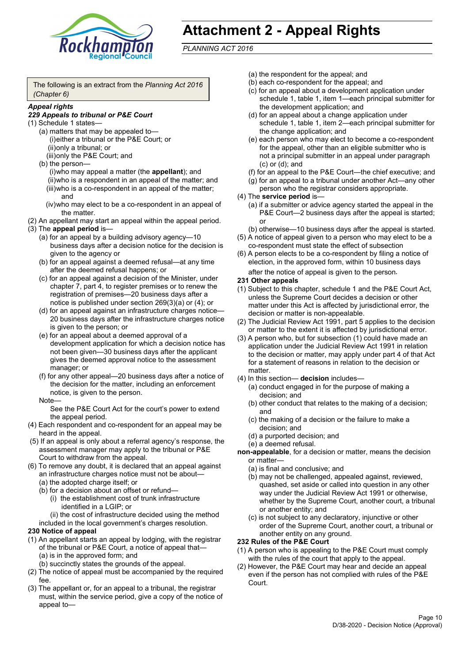

# **Attachment 2 - Appeal Rights**

*PLANNING ACT 2016*

The following is an extract from the *Planning Act 2016 (Chapter 6)*

#### *Appeal rights*

### *229 Appeals to tribunal or P&E Court*

- (1) Schedule 1 states—
	- (a) matters that may be appealed to— (i)either a tribunal or the P&E Court; or (ii)only a tribunal; or (iii)only the P&E Court; and
	- (b) the person—

(i)who may appeal a matter (the **appellant**); and (ii)who is a respondent in an appeal of the matter; and (iii)who is a co-respondent in an appeal of the matter; and

- (iv)who may elect to be a co-respondent in an appeal of the matter.
- (2) An appellant may start an appeal within the appeal period.
- (3) The **appeal period** is—
	- (a) for an appeal by a building advisory agency—10 business days after a decision notice for the decision is given to the agency or
	- (b) for an appeal against a deemed refusal—at any time after the deemed refusal happens; or
	- (c) for an appeal against a decision of the Minister, under chapter 7, part 4, to register premises or to renew the registration of premises—20 business days after a notice is published under section 269(3)(a) or (4); or
	- (d) for an appeal against an infrastructure charges notice— 20 business days after the infrastructure charges notice is given to the person; or
	- (e) for an appeal about a deemed approval of a development application for which a decision notice has not been given—30 business days after the applicant gives the deemed approval notice to the assessment manager; or
	- (f) for any other appeal—20 business days after a notice of the decision for the matter, including an enforcement notice, is given to the person.

#### Note—

See the P&E Court Act for the court's power to extend the appeal period.

- (4) Each respondent and co-respondent for an appeal may be heard in the appeal.
- (5) If an appeal is only about a referral agency's response, the assessment manager may apply to the tribunal or P&E Court to withdraw from the appeal.
- (6) To remove any doubt, it is declared that an appeal against an infrastructure charges notice must not be about—
	- (a) the adopted charge itself; or
	- (b) for a decision about an offset or refund—
		- (i) the establishment cost of trunk infrastructure identified in a LGIP; or
		- (ii) the cost of infrastructure decided using the method

included in the local government's charges resolution.

#### **230 Notice of appeal**

- (1) An appellant starts an appeal by lodging, with the registrar of the tribunal or P&E Court, a notice of appeal that—
	- (a) is in the approved form; and
	- (b) succinctly states the grounds of the appeal.
- (2) The notice of appeal must be accompanied by the required fee.
- (3) The appellant or, for an appeal to a tribunal, the registrar must, within the service period, give a copy of the notice of appeal to—
- (a) the respondent for the appeal; and
- (b) each co-respondent for the appeal; and
- (c) for an appeal about a development application under schedule 1, table 1, item 1—each principal submitter for the development application; and
- (d) for an appeal about a change application under schedule 1, table 1, item 2—each principal submitter for the change application; and
- (e) each person who may elect to become a co-respondent for the appeal, other than an eligible submitter who is not a principal submitter in an appeal under paragraph (c) or (d); and
- (f) for an appeal to the P&E Court—the chief executive; and
- (g) for an appeal to a tribunal under another Act—any other person who the registrar considers appropriate.
- (4) The **service period** is—
	- (a) if a submitter or advice agency started the appeal in the P&E Court—2 business days after the appeal is started; or
	- (b) otherwise—10 business days after the appeal is started.
- (5) A notice of appeal given to a person who may elect to be a co-respondent must state the effect of subsection
- (6) A person elects to be a co-respondent by filing a notice of election, in the approved form, within 10 business days after the notice of appeal is given to the person*.*
- **231 Other appeals**
- (1) Subject to this chapter, schedule 1 and the P&E Court Act, unless the Supreme Court decides a decision or other matter under this Act is affected by jurisdictional error, the decision or matter is non-appealable.
- (2) The Judicial Review Act 1991, part 5 applies to the decision or matter to the extent it is affected by jurisdictional error.
- (3) A person who, but for subsection (1) could have made an application under the Judicial Review Act 1991 in relation to the decision or matter, may apply under part 4 of that Act for a statement of reasons in relation to the decision or matter.
- (4) In this section— **decision** includes—
	- (a) conduct engaged in for the purpose of making a decision; and
	- (b) other conduct that relates to the making of a decision; and
	- (c) the making of a decision or the failure to make a decision; and
	- (d) a purported decision; and
	- (e) a deemed refusal.

**non-appealable**, for a decision or matter, means the decision or matter—

- (a) is final and conclusive; and
- (b) may not be challenged, appealed against, reviewed, quashed, set aside or called into question in any other way under the Judicial Review Act 1991 or otherwise, whether by the Supreme Court, another court, a tribunal or another entity; and
- (c) is not subject to any declaratory, injunctive or other order of the Supreme Court, another court, a tribunal or another entity on any ground.

#### **232 Rules of the P&E Court**

- (1) A person who is appealing to the P&E Court must comply with the rules of the court that apply to the appeal.
- (2) However, the P&E Court may hear and decide an appeal even if the person has not complied with rules of the P&E Court.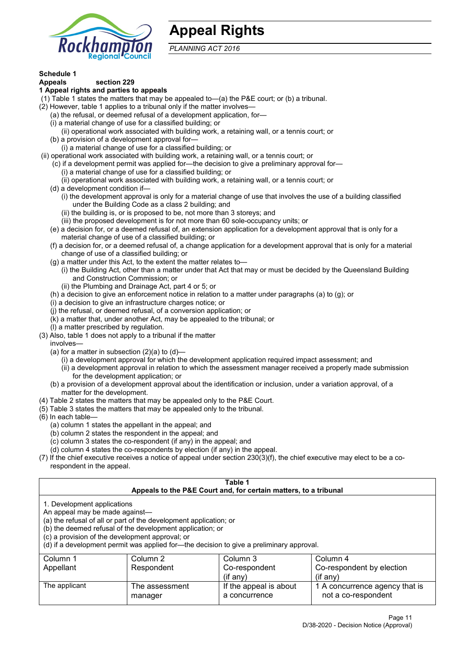

# **Appeal Rights**

*PLANNING ACT 2016*

# **Schedule 1**

#### **Appeals section 229 1 Appeal rights and parties to appeals**

- (1) Table 1 states the matters that may be appealed to—(a) the P&E court; or (b) a tribunal.
- (2) However, table 1 applies to a tribunal only if the matter involves—
	- (a) the refusal, or deemed refusal of a development application, for—
	- (i) a material change of use for a classified building; or
	- (ii) operational work associated with building work, a retaining wall, or a tennis court; or
	- (b) a provision of a development approval for—
	- (i) a material change of use for a classified building; or
- (ii) operational work associated with building work, a retaining wall, or a tennis court; or
	- (c) if a development permit was applied for—the decision to give a preliminary approval for—
		- (i) a material change of use for a classified building; or
		- (ii) operational work associated with building work, a retaining wall, or a tennis court; or
	- (d) a development condition if—
		- (i) the development approval is only for a material change of use that involves the use of a building classified under the Building Code as a class 2 building; and
		- (ii) the building is, or is proposed to be, not more than 3 storeys; and
		- (iii) the proposed development is for not more than 60 sole-occupancy units; or
	- (e) a decision for, or a deemed refusal of, an extension application for a development approval that is only for a material change of use of a classified building; or
	- (f) a decision for, or a deemed refusal of, a change application for a development approval that is only for a material change of use of a classified building; or
	- (g) a matter under this Act, to the extent the matter relates to—
		- (i) the Building Act, other than a matter under that Act that may or must be decided by the Queensland Building and Construction Commission; or
		- (ii) the Plumbing and Drainage Act, part 4 or 5; or
	- (h) a decision to give an enforcement notice in relation to a matter under paragraphs (a) to (g); or
	- (i) a decision to give an infrastructure charges notice; or
	- (j) the refusal, or deemed refusal, of a conversion application; or
	- (k) a matter that, under another Act, may be appealed to the tribunal; or
	- (l) a matter prescribed by regulation.
- (3) Also, table 1 does not apply to a tribunal if the matter

involves—

- (a) for a matter in subsection  $(2)(a)$  to  $(d)$ 
	- (i) a development approval for which the development application required impact assessment; and
	- (ii) a development approval in relation to which the assessment manager received a properly made submission for the development application; or
- (b) a provision of a development approval about the identification or inclusion, under a variation approval, of a matter for the development.
- (4) Table 2 states the matters that may be appealed only to the P&E Court.
- (5) Table 3 states the matters that may be appealed only to the tribunal.
- (6) In each table—
	- (a) column 1 states the appellant in the appeal; and
	- (b) column 2 states the respondent in the appeal; and
	- (c) column 3 states the co-respondent (if any) in the appeal; and
	- (d) column 4 states the co-respondents by election (if any) in the appeal.
- (7) If the chief executive receives a notice of appeal under section 230(3)(f), the chief executive may elect to be a corespondent in the appeal.

| Table 1                                                                                                                                                                                                                                                                                                                                                                                                            |                           |                                         |                                                       |  |
|--------------------------------------------------------------------------------------------------------------------------------------------------------------------------------------------------------------------------------------------------------------------------------------------------------------------------------------------------------------------------------------------------------------------|---------------------------|-----------------------------------------|-------------------------------------------------------|--|
| Appeals to the P&E Court and, for certain matters, to a tribunal<br>1. Development applications<br>An appeal may be made against-<br>(a) the refusal of all or part of the development application; or<br>(b) the deemed refusal of the development application; or<br>(c) a provision of the development approval; or<br>(d) if a development permit was applied for—the decision to give a preliminary approval. |                           |                                         |                                                       |  |
| Column 3<br>Column 1<br>Column 2<br>Column 4<br>Respondent<br>Co-respondent by election<br>Appellant<br>Co-respondent<br>$(if$ any)<br>$(i$ f any)                                                                                                                                                                                                                                                                 |                           |                                         |                                                       |  |
| The applicant                                                                                                                                                                                                                                                                                                                                                                                                      | The assessment<br>manager | If the appeal is about<br>a concurrence | 1 A concurrence agency that is<br>not a co-respondent |  |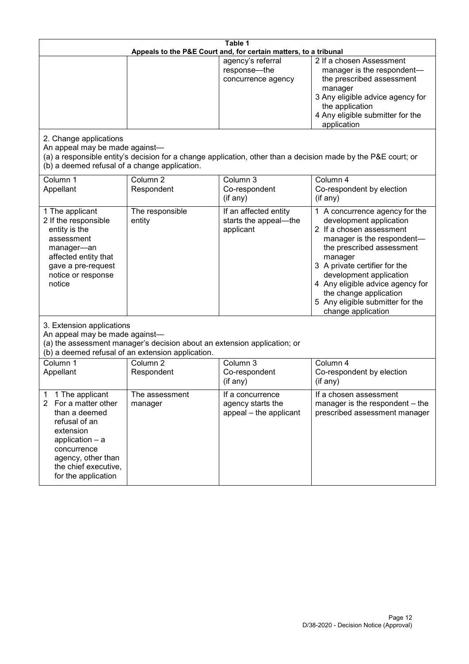| Table 1<br>Appeals to the P&E Court and, for certain matters, to a tribunal                                                                                                                           |                                   |                                                                 |                                                                                                                                                                                                                                                                                                                                                 |  |
|-------------------------------------------------------------------------------------------------------------------------------------------------------------------------------------------------------|-----------------------------------|-----------------------------------------------------------------|-------------------------------------------------------------------------------------------------------------------------------------------------------------------------------------------------------------------------------------------------------------------------------------------------------------------------------------------------|--|
|                                                                                                                                                                                                       |                                   | agency's referral<br>response-the<br>concurrence agency         | 2 If a chosen Assessment<br>manager is the respondent-<br>the prescribed assessment<br>manager<br>3 Any eligible advice agency for<br>the application<br>4 Any eligible submitter for the<br>application                                                                                                                                        |  |
| 2. Change applications<br>An appeal may be made against-<br>(b) a deemed refusal of a change application.                                                                                             |                                   |                                                                 | (a) a responsible entity's decision for a change application, other than a decision made by the P&E court; or                                                                                                                                                                                                                                   |  |
| Column 1<br>Appellant                                                                                                                                                                                 | Column <sub>2</sub><br>Respondent | Column 3<br>Co-respondent<br>(if any)                           | Column 4<br>Co-respondent by election<br>(if any)                                                                                                                                                                                                                                                                                               |  |
| 1 The applicant<br>2 If the responsible<br>entity is the<br>assessment<br>manager-an<br>affected entity that<br>gave a pre-request<br>notice or response<br>notice                                    | The responsible<br>entity         | If an affected entity<br>starts the appeal-the<br>applicant     | 1 A concurrence agency for the<br>development application<br>2 If a chosen assessment<br>manager is the respondent-<br>the prescribed assessment<br>manager<br>3 A private certifier for the<br>development application<br>4 Any eligible advice agency for<br>the change application<br>5 Any eligible submitter for the<br>change application |  |
| 3. Extension applications<br>An appeal may be made against-<br>(a) the assessment manager's decision about an extension application; or<br>(b) a deemed refusal of an extension application.          |                                   |                                                                 |                                                                                                                                                                                                                                                                                                                                                 |  |
| Column 1<br>Appellant                                                                                                                                                                                 | Column <sub>2</sub><br>Respondent | Column 3<br>Co-respondent<br>(if any)                           | Column 4<br>Co-respondent by election<br>(if any)                                                                                                                                                                                                                                                                                               |  |
| 1 The applicant<br>1<br>2<br>For a matter other<br>than a deemed<br>refusal of an<br>extension<br>application - a<br>concurrence<br>agency, other than<br>the chief executive,<br>for the application | The assessment<br>manager         | If a concurrence<br>agency starts the<br>appeal - the applicant | If a chosen assessment<br>manager is the respondent - the<br>prescribed assessment manager                                                                                                                                                                                                                                                      |  |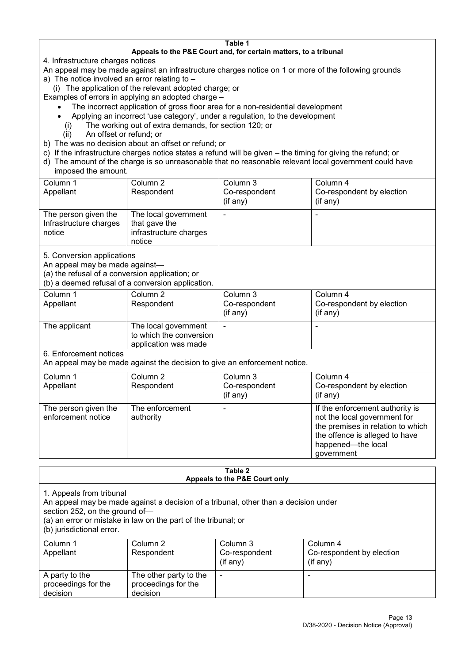#### **Table 1 Appeals to the P&E Court and, for certain matters, to a tribunal**

4. Infrastructure charges notices

- An appeal may be made against an infrastructure charges notice on 1 or more of the following grounds
- a) The notice involved an error relating to
	- (i) The application of the relevant adopted charge; or
- Examples of errors in applying an adopted charge
	- The incorrect application of gross floor area for a non-residential development
	- Applying an incorrect 'use category', under a regulation, to the development
	- (i) The working out of extra demands, for section 120; or
	- (ii) An offset or refund; or
- b) The was no decision about an offset or refund; or
- c) If the infrastructure charges notice states a refund will be given the timing for giving the refund; or
- d) The amount of the charge is so unreasonable that no reasonable relevant local government could have

# imposed the amount.

| Column 1               | Column 2               | Column 3      | Column 4                  |
|------------------------|------------------------|---------------|---------------------------|
| Appellant              | Respondent             | Co-respondent | Co-respondent by election |
|                        |                        | (if any)      | $($ if any $)$            |
| The person given the   | The local government   |               |                           |
| Infrastructure charges | that gave the          |               |                           |
| notice                 | infrastructure charges |               |                           |
|                        | notice                 |               |                           |

5. Conversion applications

An appeal may be made against—

(a) the refusal of a conversion application; or

(b) a deemed refusal of a conversion application.

| Column 1<br>Appellant | Column 2<br>Respondent                                                  | Column 3<br>Co-respondent<br>$($ if any $)$ | Column 4<br>Co-respondent by election<br>$($ if any $)$ |
|-----------------------|-------------------------------------------------------------------------|---------------------------------------------|---------------------------------------------------------|
| The applicant         | The local government<br>to which the conversion<br>application was made |                                             |                                                         |

6. Enforcement notices

An appeal may be made against the decision to give an enforcement notice.

| Column 1                                   | Column 2                     | Column 3      | Column 4                                                                                                                                                                   |
|--------------------------------------------|------------------------------|---------------|----------------------------------------------------------------------------------------------------------------------------------------------------------------------------|
| Appellant                                  | Respondent                   | Co-respondent | Co-respondent by election                                                                                                                                                  |
|                                            |                              | (if any)      | $($ if any $)$                                                                                                                                                             |
| The person given the<br>enforcement notice | The enforcement<br>authority |               | If the enforcement authority is<br>not the local government for<br>the premises in relation to which<br>the offence is alleged to have<br>happened-the local<br>government |

#### **Table 2 Appeals to the P&E Court only**

1. Appeals from tribunal

An appeal may be made against a decision of a tribunal, other than a decision under

section 252, on the ground of—

(a) an error or mistake in law on the part of the tribunal; or

(b) jurisdictional error.

| Column 1<br>Appellant                             | Column 2<br>Respondent                                    | Column 3<br>Co-respondent<br>$($ if any $)$ | Column 4<br>Co-respondent by election<br>$($ if any $)$ |
|---------------------------------------------------|-----------------------------------------------------------|---------------------------------------------|---------------------------------------------------------|
| A party to the<br>proceedings for the<br>decision | The other party to the<br>proceedings for the<br>decision | ٠                                           |                                                         |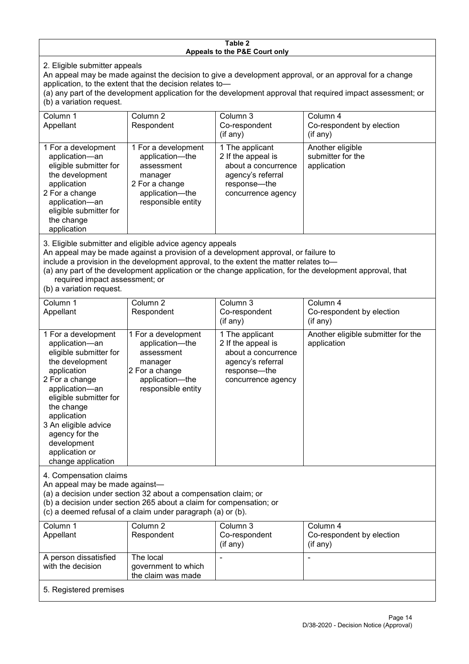#### **Table 2 Appeals to the P&E Court only**

2. Eligible submitter appeals

An appeal may be made against the decision to give a development approval, or an approval for a change application, to the extent that the decision relates to—

(a) any part of the development application for the development approval that required impact assessment; or (b) a variation request.

| Column 1<br>Appellant                                                                                                                                                                        | Column 2<br>Respondent                                                                                                     | Column 3<br>Co-respondent<br>(if any)                                                                                   | Column 4<br>Co-respondent by election<br>(if any)    |  |
|----------------------------------------------------------------------------------------------------------------------------------------------------------------------------------------------|----------------------------------------------------------------------------------------------------------------------------|-------------------------------------------------------------------------------------------------------------------------|------------------------------------------------------|--|
| 1 For a development<br>application-an<br>eligible submitter for<br>the development<br>application<br>2 For a change<br>application-an<br>eligible submitter for<br>the change<br>application | 1 For a development<br>application-the<br>assessment<br>manager<br>2 For a change<br>application-the<br>responsible entity | 1 The applicant<br>2 If the appeal is<br>about a concurrence<br>agency's referral<br>response—the<br>concurrence agency | Another eligible<br>submitter for the<br>application |  |
|                                                                                                                                                                                              |                                                                                                                            |                                                                                                                         |                                                      |  |

3. Eligible submitter and eligible advice agency appeals

An appeal may be made against a provision of a development approval, or failure to

include a provision in the development approval, to the extent the matter relates to—

(a) any part of the development application or the change application, for the development approval, that required impact assessment; or

(b) a variation request.

| Column 1<br>Appellant                                                                                                                                                                                                                                                                         | Column 2<br>Respondent                                                                                                     | Column 3<br>Co-respondent<br>(if any)                                                                                   | Column 4<br>Co-respondent by election<br>(if any) |
|-----------------------------------------------------------------------------------------------------------------------------------------------------------------------------------------------------------------------------------------------------------------------------------------------|----------------------------------------------------------------------------------------------------------------------------|-------------------------------------------------------------------------------------------------------------------------|---------------------------------------------------|
| 1 For a development<br>application-an<br>eligible submitter for<br>the development<br>application<br>2 For a change<br>application-an<br>eligible submitter for<br>the change<br>application<br>3 An eligible advice<br>agency for the<br>development<br>application or<br>change application | 1 For a development<br>application-the<br>assessment<br>manager<br>2 For a change<br>application-the<br>responsible entity | 1 The applicant<br>2 If the appeal is<br>about a concurrence<br>agency's referral<br>response-the<br>concurrence agency | Another eligible submitter for the<br>application |
| 4. Compensation claims<br>An appeal may be made against-<br>(a) a decision under section 32 about a compensation claim; or<br>(b) a decision under section 265 about a claim for compensation; or<br>(c) a deemed refusal of a claim under paragraph (a) or (b).                              |                                                                                                                            |                                                                                                                         |                                                   |
| Column 1<br>Appellant                                                                                                                                                                                                                                                                         | Column 2<br>Respondent                                                                                                     | Column 3<br>Co-respondent<br>(if any)                                                                                   | Column 4<br>Co-respondent by election<br>(if any) |
| A person dissatisfied<br>with the decision                                                                                                                                                                                                                                                    | The local<br>government to which<br>the claim was made                                                                     |                                                                                                                         | $\blacksquare$                                    |
| 5. Registered premises                                                                                                                                                                                                                                                                        |                                                                                                                            |                                                                                                                         |                                                   |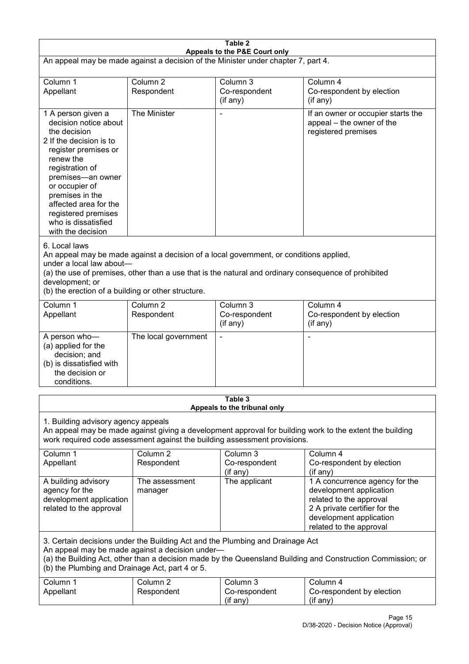| Table 2                                                                                                                                                                                                                                                                                              |                                   |                                                                                                                                                                                                |                                                                                                                                                                             |  |
|------------------------------------------------------------------------------------------------------------------------------------------------------------------------------------------------------------------------------------------------------------------------------------------------------|-----------------------------------|------------------------------------------------------------------------------------------------------------------------------------------------------------------------------------------------|-----------------------------------------------------------------------------------------------------------------------------------------------------------------------------|--|
| Appeals to the P&E Court only<br>An appeal may be made against a decision of the Minister under chapter 7, part 4.                                                                                                                                                                                   |                                   |                                                                                                                                                                                                |                                                                                                                                                                             |  |
| Column 1<br>Appellant                                                                                                                                                                                                                                                                                | Column <sub>2</sub><br>Respondent | Column 3<br>Co-respondent<br>(if any)                                                                                                                                                          | Column 4<br>Co-respondent by election<br>(if any)                                                                                                                           |  |
| 1 A person given a<br>decision notice about<br>the decision<br>2 If the decision is to<br>register premises or<br>renew the<br>registration of<br>premises-an owner<br>or occupier of<br>premises in the<br>affected area for the<br>registered premises<br>who is dissatisfied<br>with the decision | The Minister                      |                                                                                                                                                                                                | If an owner or occupier starts the<br>appeal - the owner of the<br>registered premises                                                                                      |  |
| 6. Local laws<br>under a local law about-<br>development; or<br>(b) the erection of a building or other structure.                                                                                                                                                                                   |                                   | An appeal may be made against a decision of a local government, or conditions applied,<br>(a) the use of premises, other than a use that is the natural and ordinary consequence of prohibited |                                                                                                                                                                             |  |
| Column 1<br>Appellant                                                                                                                                                                                                                                                                                | Column <sub>2</sub><br>Respondent | Column 3<br>Co-respondent<br>(if any)                                                                                                                                                          | Column 4<br>Co-respondent by election<br>(if any)                                                                                                                           |  |
| A person who-<br>(a) applied for the<br>decision; and<br>(b) is dissatisfied with<br>the decision or<br>conditions.                                                                                                                                                                                  | The local government              |                                                                                                                                                                                                | ٠                                                                                                                                                                           |  |
|                                                                                                                                                                                                                                                                                                      |                                   | Table 3<br>Appeals to the tribunal only                                                                                                                                                        |                                                                                                                                                                             |  |
| 1. Building advisory agency appeals<br>An appeal may be made against giving a development approval for building work to the extent the building<br>work required code assessment against the building assessment provisions.                                                                         |                                   |                                                                                                                                                                                                |                                                                                                                                                                             |  |
| Column 1<br>Appellant                                                                                                                                                                                                                                                                                | Column <sub>2</sub><br>Respondent | Column 3<br>Co-respondent<br>(if any)                                                                                                                                                          | Column 4<br>Co-respondent by election<br>(if any)                                                                                                                           |  |
| A building advisory<br>agency for the<br>development application<br>related to the approval                                                                                                                                                                                                          | The assessment<br>manager         | The applicant                                                                                                                                                                                  | 1 A concurrence agency for the<br>development application<br>related to the approval<br>2 A private certifier for the<br>development application<br>related to the approval |  |
| 3. Certain decisions under the Building Act and the Plumbing and Drainage Act<br>An appeal may be made against a decision under-<br>(a) the Building Act, other than a decision made by the Queensland Building and Construction Commission; or<br>(b) the Plumbing and Drainage Act, part 4 or 5.   |                                   |                                                                                                                                                                                                |                                                                                                                                                                             |  |
| Column 1<br>Appellant                                                                                                                                                                                                                                                                                | Column <sub>2</sub><br>Respondent | Column 3<br>Co-respondent<br>(if any)                                                                                                                                                          | Column 4<br>Co-respondent by election<br>(if any)                                                                                                                           |  |